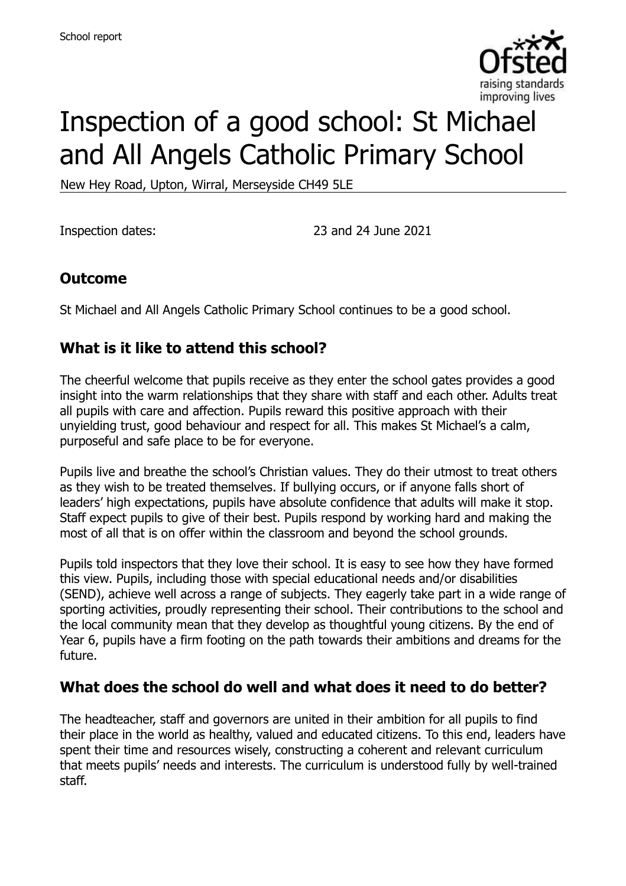

# Inspection of a good school: St Michael and All Angels Catholic Primary School

New Hey Road, Upton, Wirral, Merseyside CH49 5LE

Inspection dates: 23 and 24 June 2021

# **Outcome**

St Michael and All Angels Catholic Primary School continues to be a good school.

# **What is it like to attend this school?**

The cheerful welcome that pupils receive as they enter the school gates provides a good insight into the warm relationships that they share with staff and each other. Adults treat all pupils with care and affection. Pupils reward this positive approach with their unyielding trust, good behaviour and respect for all. This makes St Michael's a calm, purposeful and safe place to be for everyone.

Pupils live and breathe the school's Christian values. They do their utmost to treat others as they wish to be treated themselves. If bullying occurs, or if anyone falls short of leaders' high expectations, pupils have absolute confidence that adults will make it stop. Staff expect pupils to give of their best. Pupils respond by working hard and making the most of all that is on offer within the classroom and beyond the school grounds.

Pupils told inspectors that they love their school. It is easy to see how they have formed this view. Pupils, including those with special educational needs and/or disabilities (SEND), achieve well across a range of subjects. They eagerly take part in a wide range of sporting activities, proudly representing their school. Their contributions to the school and the local community mean that they develop as thoughtful young citizens. By the end of Year 6, pupils have a firm footing on the path towards their ambitions and dreams for the future.

# **What does the school do well and what does it need to do better?**

The headteacher, staff and governors are united in their ambition for all pupils to find their place in the world as healthy, valued and educated citizens. To this end, leaders have spent their time and resources wisely, constructing a coherent and relevant curriculum that meets pupils' needs and interests. The curriculum is understood fully by well-trained staff.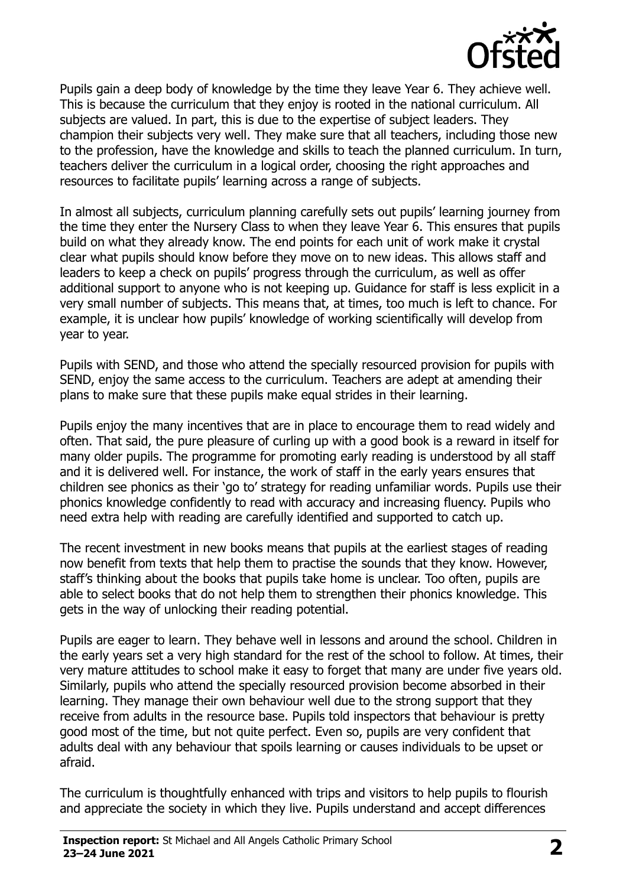

Pupils gain a deep body of knowledge by the time they leave Year 6. They achieve well. This is because the curriculum that they enjoy is rooted in the national curriculum. All subjects are valued. In part, this is due to the expertise of subject leaders. They champion their subjects very well. They make sure that all teachers, including those new to the profession, have the knowledge and skills to teach the planned curriculum. In turn, teachers deliver the curriculum in a logical order, choosing the right approaches and resources to facilitate pupils' learning across a range of subjects.

In almost all subjects, curriculum planning carefully sets out pupils' learning journey from the time they enter the Nursery Class to when they leave Year 6. This ensures that pupils build on what they already know. The end points for each unit of work make it crystal clear what pupils should know before they move on to new ideas. This allows staff and leaders to keep a check on pupils' progress through the curriculum, as well as offer additional support to anyone who is not keeping up. Guidance for staff is less explicit in a very small number of subjects. This means that, at times, too much is left to chance. For example, it is unclear how pupils' knowledge of working scientifically will develop from year to year.

Pupils with SEND, and those who attend the specially resourced provision for pupils with SEND, enjoy the same access to the curriculum. Teachers are adept at amending their plans to make sure that these pupils make equal strides in their learning.

Pupils enjoy the many incentives that are in place to encourage them to read widely and often. That said, the pure pleasure of curling up with a good book is a reward in itself for many older pupils. The programme for promoting early reading is understood by all staff and it is delivered well. For instance, the work of staff in the early years ensures that children see phonics as their 'go to' strategy for reading unfamiliar words. Pupils use their phonics knowledge confidently to read with accuracy and increasing fluency. Pupils who need extra help with reading are carefully identified and supported to catch up.

The recent investment in new books means that pupils at the earliest stages of reading now benefit from texts that help them to practise the sounds that they know. However, staff's thinking about the books that pupils take home is unclear. Too often, pupils are able to select books that do not help them to strengthen their phonics knowledge. This gets in the way of unlocking their reading potential.

Pupils are eager to learn. They behave well in lessons and around the school. Children in the early years set a very high standard for the rest of the school to follow. At times, their very mature attitudes to school make it easy to forget that many are under five years old. Similarly, pupils who attend the specially resourced provision become absorbed in their learning. They manage their own behaviour well due to the strong support that they receive from adults in the resource base. Pupils told inspectors that behaviour is pretty good most of the time, but not quite perfect. Even so, pupils are very confident that adults deal with any behaviour that spoils learning or causes individuals to be upset or afraid.

The curriculum is thoughtfully enhanced with trips and visitors to help pupils to flourish and appreciate the society in which they live. Pupils understand and accept differences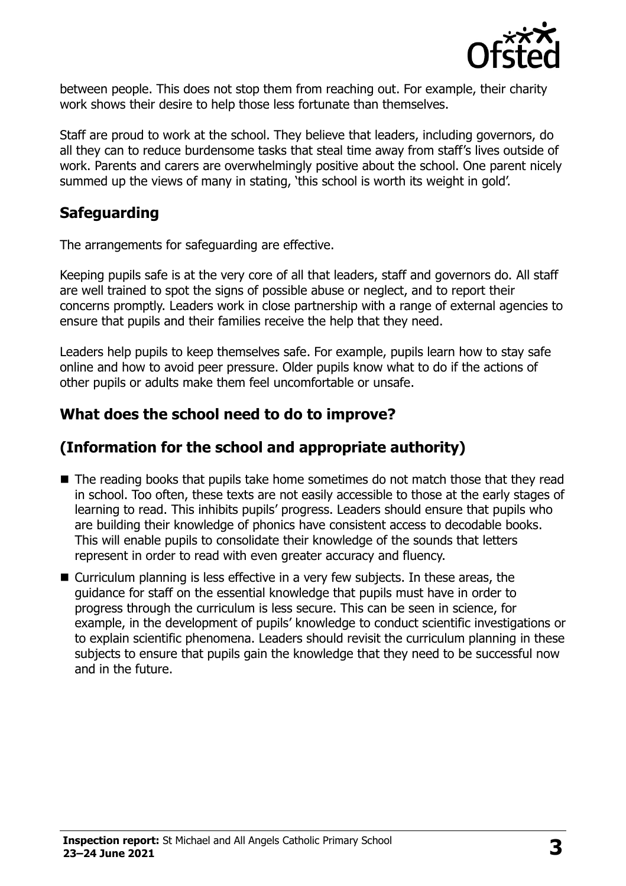

between people. This does not stop them from reaching out. For example, their charity work shows their desire to help those less fortunate than themselves.

Staff are proud to work at the school. They believe that leaders, including governors, do all they can to reduce burdensome tasks that steal time away from staff's lives outside of work. Parents and carers are overwhelmingly positive about the school. One parent nicely summed up the views of many in stating, 'this school is worth its weight in gold'.

# **Safeguarding**

The arrangements for safeguarding are effective.

Keeping pupils safe is at the very core of all that leaders, staff and governors do. All staff are well trained to spot the signs of possible abuse or neglect, and to report their concerns promptly. Leaders work in close partnership with a range of external agencies to ensure that pupils and their families receive the help that they need.

Leaders help pupils to keep themselves safe. For example, pupils learn how to stay safe online and how to avoid peer pressure. Older pupils know what to do if the actions of other pupils or adults make them feel uncomfortable or unsafe.

# **What does the school need to do to improve?**

### **(Information for the school and appropriate authority)**

- The reading books that pupils take home sometimes do not match those that they read in school. Too often, these texts are not easily accessible to those at the early stages of learning to read. This inhibits pupils' progress. Leaders should ensure that pupils who are building their knowledge of phonics have consistent access to decodable books. This will enable pupils to consolidate their knowledge of the sounds that letters represent in order to read with even greater accuracy and fluency.
- Curriculum planning is less effective in a very few subjects. In these areas, the guidance for staff on the essential knowledge that pupils must have in order to progress through the curriculum is less secure. This can be seen in science, for example, in the development of pupils' knowledge to conduct scientific investigations or to explain scientific phenomena. Leaders should revisit the curriculum planning in these subjects to ensure that pupils gain the knowledge that they need to be successful now and in the future.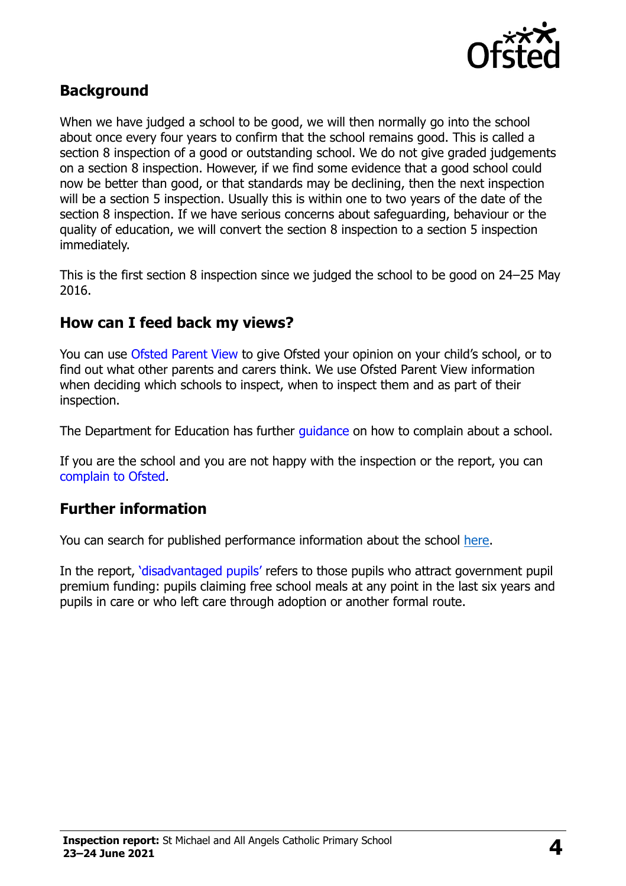

#### **Background**

When we have judged a school to be good, we will then normally go into the school about once every four years to confirm that the school remains good. This is called a section 8 inspection of a good or outstanding school. We do not give graded judgements on a section 8 inspection. However, if we find some evidence that a good school could now be better than good, or that standards may be declining, then the next inspection will be a section 5 inspection. Usually this is within one to two years of the date of the section 8 inspection. If we have serious concerns about safeguarding, behaviour or the quality of education, we will convert the section 8 inspection to a section 5 inspection immediately.

This is the first section 8 inspection since we judged the school to be good on 24–25 May 2016.

#### **How can I feed back my views?**

You can use [Ofsted Parent View](https://parentview.ofsted.gov.uk/) to give Ofsted your opinion on your child's school, or to find out what other parents and carers think. We use Ofsted Parent View information when deciding which schools to inspect, when to inspect them and as part of their inspection.

The Department for Education has further quidance on how to complain about a school.

If you are the school and you are not happy with the inspection or the report, you can [complain to Ofsted.](https://www.gov.uk/complain-ofsted-report)

#### **Further information**

You can search for published performance information about the school [here.](http://www.compare-school-performance.service.gov.uk/)

In the report, ['disadvantaged pupils'](http://www.gov.uk/guidance/pupil-premium-information-for-schools-and-alternative-provision-settings) refers to those pupils who attract government pupil premium funding: pupils claiming free school meals at any point in the last six years and pupils in care or who left care through adoption or another formal route.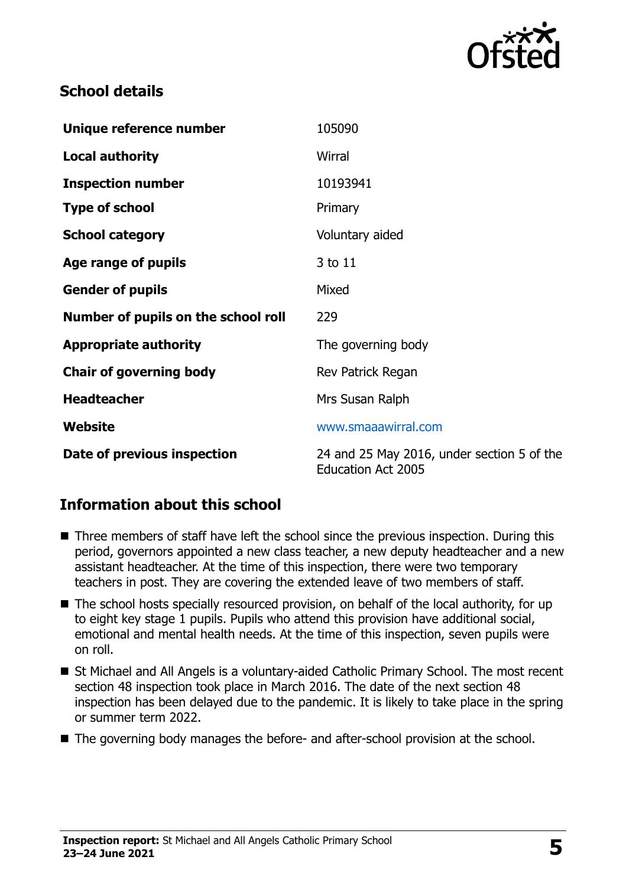

# **School details**

| Unique reference number             | 105090                                                                  |
|-------------------------------------|-------------------------------------------------------------------------|
| <b>Local authority</b>              | Wirral                                                                  |
| <b>Inspection number</b>            | 10193941                                                                |
| <b>Type of school</b>               | Primary                                                                 |
| <b>School category</b>              | Voluntary aided                                                         |
| Age range of pupils                 | 3 to 11                                                                 |
| <b>Gender of pupils</b>             | Mixed                                                                   |
| Number of pupils on the school roll | 229                                                                     |
| <b>Appropriate authority</b>        | The governing body                                                      |
| <b>Chair of governing body</b>      | Rev Patrick Regan                                                       |
| <b>Headteacher</b>                  | Mrs Susan Ralph                                                         |
| Website                             | www.smaaawirral.com                                                     |
| Date of previous inspection         | 24 and 25 May 2016, under section 5 of the<br><b>Education Act 2005</b> |

# **Information about this school**

- Three members of staff have left the school since the previous inspection. During this period, governors appointed a new class teacher, a new deputy headteacher and a new assistant headteacher. At the time of this inspection, there were two temporary teachers in post. They are covering the extended leave of two members of staff.
- The school hosts specially resourced provision, on behalf of the local authority, for up to eight key stage 1 pupils. Pupils who attend this provision have additional social, emotional and mental health needs. At the time of this inspection, seven pupils were on roll.
- St Michael and All Angels is a voluntary-aided Catholic Primary School. The most recent section 48 inspection took place in March 2016. The date of the next section 48 inspection has been delayed due to the pandemic. It is likely to take place in the spring or summer term 2022.
- The governing body manages the before- and after-school provision at the school.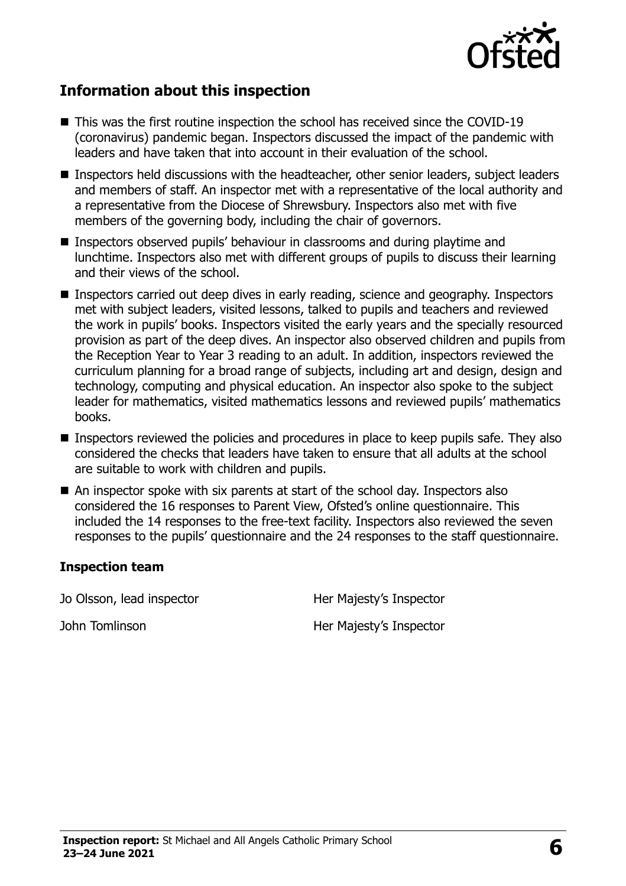

# **Information about this inspection**

- This was the first routine inspection the school has received since the COVID-19 (coronavirus) pandemic began. Inspectors discussed the impact of the pandemic with leaders and have taken that into account in their evaluation of the school.
- Inspectors held discussions with the headteacher, other senior leaders, subject leaders and members of staff. An inspector met with a representative of the local authority and a representative from the Diocese of Shrewsbury. Inspectors also met with five members of the governing body, including the chair of governors.
- **Inspectors observed pupils' behaviour in classrooms and during playtime and** lunchtime. Inspectors also met with different groups of pupils to discuss their learning and their views of the school.
- Inspectors carried out deep dives in early reading, science and geography. Inspectors met with subject leaders, visited lessons, talked to pupils and teachers and reviewed the work in pupils' books. Inspectors visited the early years and the specially resourced provision as part of the deep dives. An inspector also observed children and pupils from the Reception Year to Year 3 reading to an adult. In addition, inspectors reviewed the curriculum planning for a broad range of subjects, including art and design, design and technology, computing and physical education. An inspector also spoke to the subject leader for mathematics, visited mathematics lessons and reviewed pupils' mathematics books.
- **Inspectors reviewed the policies and procedures in place to keep pupils safe. They also** considered the checks that leaders have taken to ensure that all adults at the school are suitable to work with children and pupils.
- An inspector spoke with six parents at start of the school day. Inspectors also considered the 16 responses to Parent View, Ofsted's online questionnaire. This included the 14 responses to the free-text facility. Inspectors also reviewed the seven responses to the pupils' questionnaire and the 24 responses to the staff questionnaire.

#### **Inspection team**

Jo Olsson, lead inspector **Her Majesty's Inspector** 

John Tomlinson **Her Majesty's Inspector**